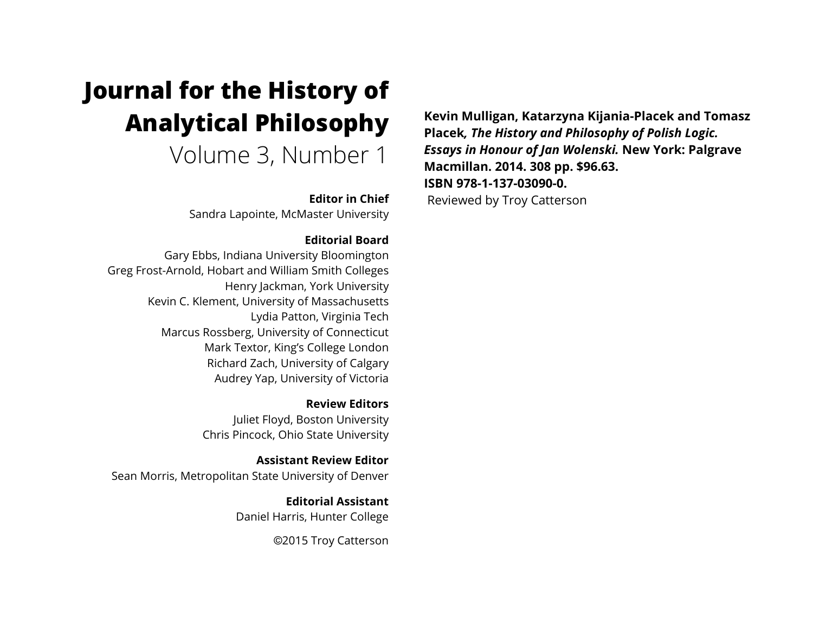# **Journal for the History of Analytical Philosophy**

Volume 3, Number 1

**Editor in Chief**

Sandra Lapointe, McMaster University

## **Editorial Board**

Gary Ebbs, Indiana University Bloomington Greg Frost-Arnold, Hobart and William Smith Colleges Henry Jackman, York University Kevin C. Klement, University of Massachusetts Lydia Patton, Virginia Tech Marcus Rossberg, University of Connecticut Mark Textor, King's College London Richard Zach, University of Calgary Audrey Yap, University of Victoria

> **Review Editors** Juliet Floyd, Boston University Chris Pincock, Ohio State University

**Assistant Review Editor** Sean Morris, Metropolitan State University of Denver

> **Editorial Assistant** Daniel Harris, Hunter College

> > ©2015 Troy Catterson

**Kevin Mulligan, Katarzyna Kijania-Placek and Tomasz Placek***, The History and Philosophy of Polish Logic. Essays in Honour of Jan Wolenski.* **New York: Palgrave Macmillan. 2014. 308 pp. \$96.63. ISBN 978-1-137-03090-0.** Reviewed by Troy Catterson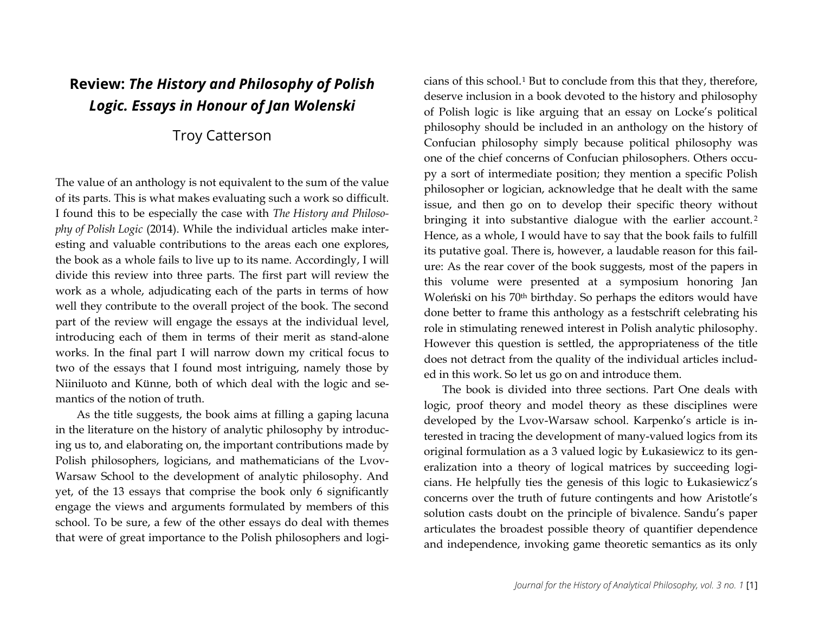## **Review:** *The History and Philosophy of Polish Logic. Essays in Honour of Jan Wolenski*

## Troy Catterson

The value of an anthology is not equivalent to the sum of the value of its parts. This is what makes evaluating such a work so difficult. I found this to be especially the case with *The History and Philosophy of Polish Logic* (2014). While the individual articles make interesting and valuable contributions to the areas each one explores, the book as a whole fails to live up to its name. Accordingly, I will divide this review into three parts. The first part will review the work as a whole, adjudicating each of the parts in terms of how well they contribute to the overall project of the book. The second part of the review will engage the essays at the individual level, introducing each of them in terms of their merit as stand-alone works. In the final part I will narrow down my critical focus to two of the essays that I found most intriguing, namely those by Niiniluoto and Künne, both of which deal with the logic and semantics of the notion of truth.

As the title suggests, the book aims at filling a gaping lacuna in the literature on the history of analytic philosophy by introducing us to, and elaborating on, the important contributions made by Polish philosophers, logicians, and mathematicians of the Lvov-Warsaw School to the development of analytic philosophy. And yet, of the 13 essays that comprise the book only 6 significantly engage the views and arguments formulated by members of this school. To be sure, a few of the other essays do deal with themes that were of great importance to the Polish philosophers and logicians of this school.[1](#page-5-0) But to conclude from this that they, therefore, deserve inclusion in a book devoted to the history and philosophy of Polish logic is like arguing that an essay on Locke's political philosophy should be included in an anthology on the history of Confucian philosophy simply because political philosophy was one of the chief concerns of Confucian philosophers. Others occupy a sort of intermediate position; they mention a specific Polish philosopher or logician, acknowledge that he dealt with the same issue, and then go on to develop their specific theory without bringing it into substantive dialogue with the earlier account.<sup>[2](#page-5-1)</sup> Hence, as a whole, I would have to say that the book fails to fulfill its putative goal. There is, however, a laudable reason for this failure: As the rear cover of the book suggests, most of the papers in this volume were presented at a symposium honoring Jan Woleński on his 70th birthday. So perhaps the editors would have done better to frame this anthology as a festschrift celebrating his role in stimulating renewed interest in Polish analytic philosophy. However this question is settled, the appropriateness of the title does not detract from the quality of the individual articles included in this work. So let us go on and introduce them.

The book is divided into three sections. Part One deals with logic, proof theory and model theory as these disciplines were developed by the Lvov-Warsaw school. Karpenko's article is interested in tracing the development of many-valued logics from its original formulation as a 3 valued logic by Łukasiewicz to its generalization into a theory of logical matrices by succeeding logicians. He helpfully ties the genesis of this logic to Łukasiewicz's concerns over the truth of future contingents and how Aristotle's solution casts doubt on the principle of bivalence. Sandu's paper articulates the broadest possible theory of quantifier dependence and independence, invoking game theoretic semantics as its only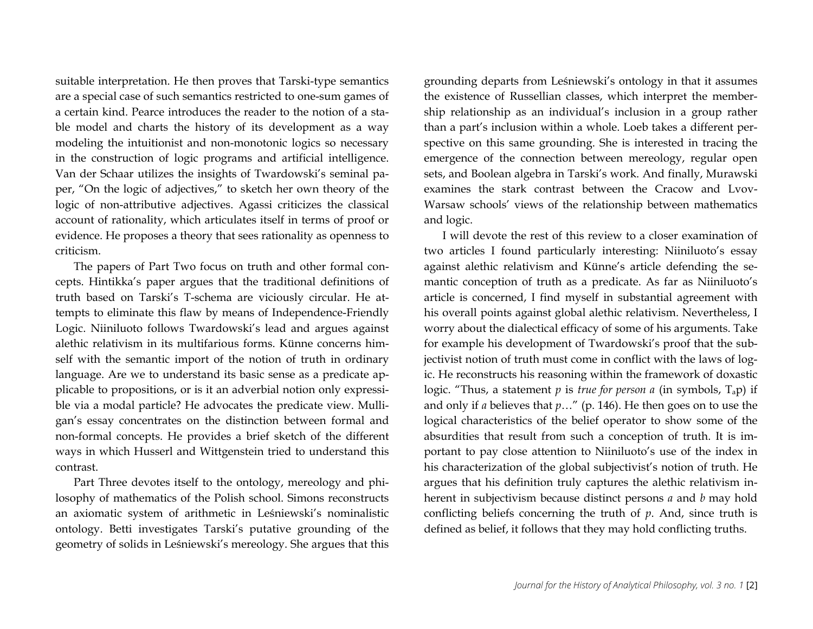suitable interpretation. He then proves that Tarski-type semantics are a special case of such semantics restricted to one-sum games of a certain kind. Pearce introduces the reader to the notion of a stable model and charts the history of its development as a way modeling the intuitionist and non-monotonic logics so necessary in the construction of logic programs and artificial intelligence. Van der Schaar utilizes the insights of Twardowski's seminal paper, "On the logic of adjectives," to sketch her own theory of the logic of non-attributive adjectives. Agassi criticizes the classical account of rationality, which articulates itself in terms of proof or evidence. He proposes a theory that sees rationality as openness to criticism.

The papers of Part Two focus on truth and other formal concepts. Hintikka's paper argues that the traditional definitions of truth based on Tarski's T-schema are viciously circular. He attempts to eliminate this flaw by means of Independence-Friendly Logic. Niiniluoto follows Twardowski's lead and argues against alethic relativism in its multifarious forms. Künne concerns himself with the semantic import of the notion of truth in ordinary language. Are we to understand its basic sense as a predicate applicable to propositions, or is it an adverbial notion only expressible via a modal particle? He advocates the predicate view. Mulligan's essay concentrates on the distinction between formal and non-formal concepts. He provides a brief sketch of the different ways in which Husserl and Wittgenstein tried to understand this contrast.

Part Three devotes itself to the ontology, mereology and philosophy of mathematics of the Polish school. Simons reconstructs an axiomatic system of arithmetic in Leśniewski's nominalistic ontology. Betti investigates Tarski's putative grounding of the geometry of solids in Leśniewski's mereology. She argues that this

grounding departs from Leśniewski's ontology in that it assumes the existence of Russellian classes, which interpret the membership relationship as an individual's inclusion in a group rather than a part's inclusion within a whole. Loeb takes a different perspective on this same grounding. She is interested in tracing the emergence of the connection between mereology, regular open sets, and Boolean algebra in Tarski's work. And finally, Murawski examines the stark contrast between the Cracow and Lvov-Warsaw schools' views of the relationship between mathematics and logic.

I will devote the rest of this review to a closer examination of two articles I found particularly interesting: Niiniluoto's essay against alethic relativism and Künne's article defending the semantic conception of truth as a predicate. As far as Niiniluoto's article is concerned, I find myself in substantial agreement with his overall points against global alethic relativism. Nevertheless, I worry about the dialectical efficacy of some of his arguments. Take for example his development of Twardowski's proof that the subjectivist notion of truth must come in conflict with the laws of logic. He reconstructs his reasoning within the framework of doxastic logic. "Thus, a statement *p* is *true for person a* (in symbols, Tap) if and only if *a* believes that *p*…" (p. 146). He then goes on to use the logical characteristics of the belief operator to show some of the absurdities that result from such a conception of truth. It is important to pay close attention to Niiniluoto's use of the index in his characterization of the global subjectivist's notion of truth. He argues that his definition truly captures the alethic relativism inherent in subjectivism because distinct persons *a* and *b* may hold conflicting beliefs concerning the truth of *p*. And, since truth is defined as belief, it follows that they may hold conflicting truths.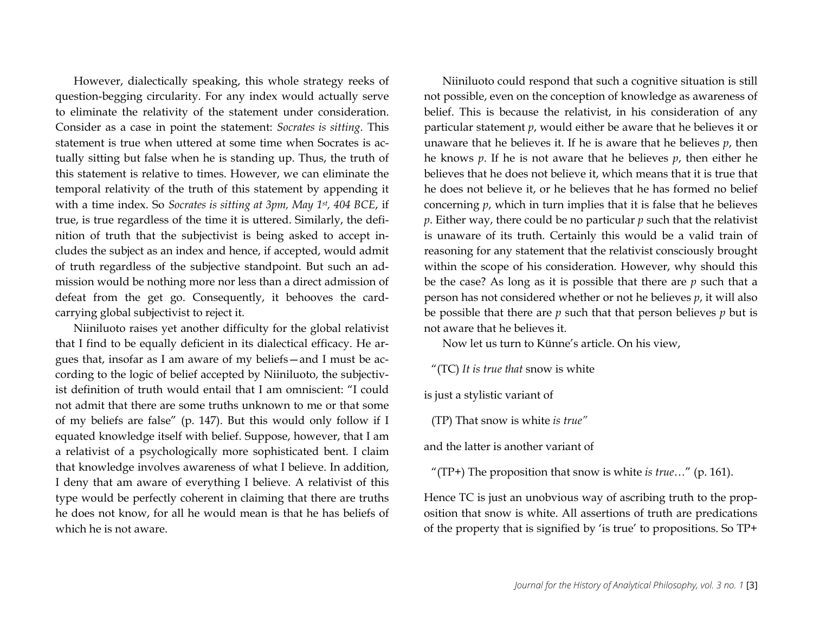However, dialectically speaking, this whole strategy reeks of question-begging circularity. For any index would actually serve to eliminate the relativity of the statement under consideration. Consider as a case in point the statement: *Socrates is sitting*. This statement is true when uttered at some time when Socrates is actually sitting but false when he is standing up. Thus, the truth of this statement is relative to times. However, we can eliminate the temporal relativity of the truth of this statement by appending it with a time index. So *Socrates is sitting at 3pm, May 1st, 404 BCE*, if true, is true regardless of the time it is uttered. Similarly, the definition of truth that the subjectivist is being asked to accept includes the subject as an index and hence, if accepted, would admit of truth regardless of the subjective standpoint. But such an admission would be nothing more nor less than a direct admission of defeat from the get go. Consequently, it behooves the cardcarrying global subjectivist to reject it.

Niiniluoto raises yet another difficulty for the global relativist that I find to be equally deficient in its dialectical efficacy. He argues that, insofar as I am aware of my beliefs—and I must be according to the logic of belief accepted by Niiniluoto, the subjectivist definition of truth would entail that I am omniscient: "I could not admit that there are some truths unknown to me or that some of my beliefs are false" (p. 147). But this would only follow if I equated knowledge itself with belief. Suppose, however, that I am a relativist of a psychologically more sophisticated bent. I claim that knowledge involves awareness of what I believe. In addition, I deny that am aware of everything I believe. A relativist of this type would be perfectly coherent in claiming that there are truths he does not know, for all he would mean is that he has beliefs of which he is not aware.

Niiniluoto could respond that such a cognitive situation is still not possible, even on the conception of knowledge as awareness of belief. This is because the relativist, in his consideration of any particular statement *p*, would either be aware that he believes it or unaware that he believes it. If he is aware that he believes *p*, then he knows *p*. If he is not aware that he believes *p*, then either he believes that he does not believe it, which means that it is true that he does not believe it, or he believes that he has formed no belief concerning *p*, which in turn implies that it is false that he believes *p*. Either way, there could be no particular *p* such that the relativist is unaware of its truth. Certainly this would be a valid train of reasoning for any statement that the relativist consciously brought within the scope of his consideration. However, why should this be the case? As long as it is possible that there are *p* such that a person has not considered whether or not he believes *p*, it will also be possible that there are *p* such that that person believes *p* but is not aware that he believes it.

Now let us turn to Künne's article. On his view,

"(TC) *It is true that* snow is white

is just a stylistic variant of

(TP) That snow is white *is true"*

and the latter is another variant of

"(TP+) The proposition that snow is white *is true*…" (p. 161).

Hence TC is just an unobvious way of ascribing truth to the proposition that snow is white. All assertions of truth are predications of the property that is signified by 'is true' to propositions. So TP+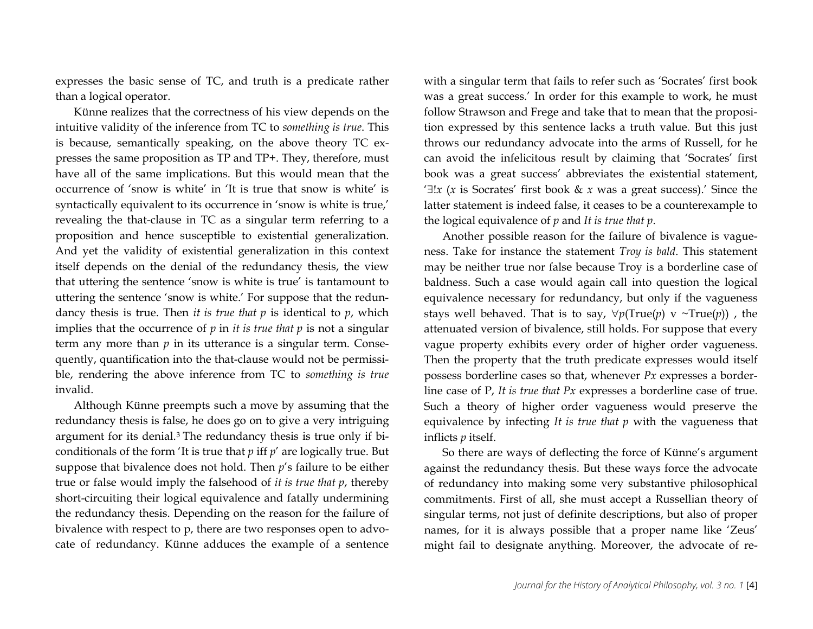expresses the basic sense of TC, and truth is a predicate rather than a logical operator.

Künne realizes that the correctness of his view depends on the intuitive validity of the inference from TC to *something is true*. This is because, semantically speaking, on the above theory TC expresses the same proposition as TP and TP+. They, therefore, must have all of the same implications. But this would mean that the occurrence of 'snow is white' in 'It is true that snow is white' is syntactically equivalent to its occurrence in 'snow is white is true,' revealing the that-clause in TC as a singular term referring to a proposition and hence susceptible to existential generalization. And yet the validity of existential generalization in this context itself depends on the denial of the redundancy thesis, the view that uttering the sentence 'snow is white is true' is tantamount to uttering the sentence 'snow is white.' For suppose that the redundancy thesis is true. Then *it is true that*  $p$  is identical to  $p$ , which implies that the occurrence of  $p$  in *it is true that*  $p$  *is* not a singular term any more than  $p$  in its utterance is a singular term. Consequently, quantification into the that-clause would not be permissible, rendering the above inference from TC to *something is true* invalid.

Although Künne preempts such a move by assuming that the redundancy thesis is false, he does go on to give a very intriguing argument for its denial.[3](#page-5-2) The redundancy thesis is true only if biconditionals of the form 'It is true that *p* iff *p*' are logically true. But suppose that bivalence does not hold. Then *p*'s failure to be either true or false would imply the falsehood of *it is true that p*, thereby short-circuiting their logical equivalence and fatally undermining the redundancy thesis. Depending on the reason for the failure of bivalence with respect to p, there are two responses open to advocate of redundancy. Künne adduces the example of a sentence with a singular term that fails to refer such as 'Socrates' first book was a great success.' In order for this example to work, he must follow Strawson and Frege and take that to mean that the proposition expressed by this sentence lacks a truth value. But this just throws our redundancy advocate into the arms of Russell, for he can avoid the infelicitous result by claiming that 'Socrates' first book was a great success' abbreviates the existential statement, '∃!*x* (*x* is Socrates' first book & *x* was a great success).' Since the latter statement is indeed false, it ceases to be a counterexample to the logical equivalence of *p* and *It is true that p*.

Another possible reason for the failure of bivalence is vagueness. Take for instance the statement *Troy is bald*. This statement may be neither true nor false because Troy is a borderline case of baldness. Such a case would again call into question the logical equivalence necessary for redundancy, but only if the vagueness stays well behaved. That is to say,  $\forall p(True(p) \vee \neg True(p))$ , the attenuated version of bivalence, still holds. For suppose that every vague property exhibits every order of higher order vagueness. Then the property that the truth predicate expresses would itself possess borderline cases so that, whenever *Px* expresses a borderline case of P, *It is true that Px* expresses a borderline case of true. Such a theory of higher order vagueness would preserve the equivalence by infecting *It is true that p* with the vagueness that inflicts *p* itself.

So there are ways of deflecting the force of Künne's argument against the redundancy thesis. But these ways force the advocate of redundancy into making some very substantive philosophical commitments. First of all, she must accept a Russellian theory of singular terms, not just of definite descriptions, but also of proper names, for it is always possible that a proper name like 'Zeus' might fail to designate anything. Moreover, the advocate of re-